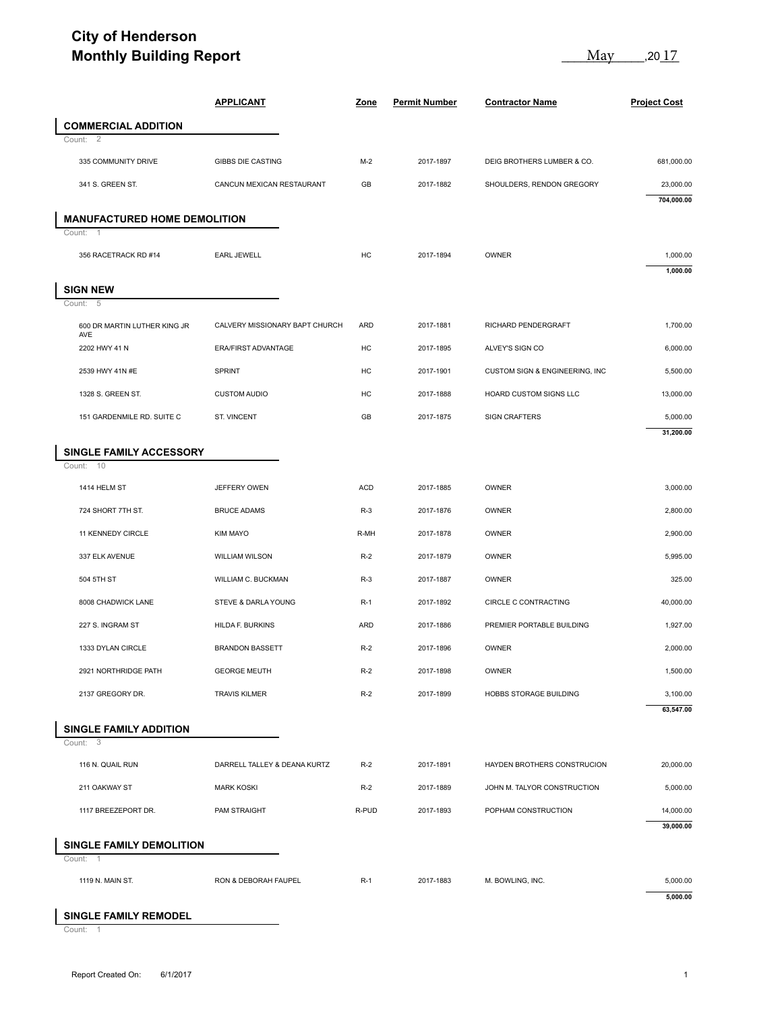## **City of Henderson Monthly Building Report**

| <b>APPLICANT</b><br><b>Zone</b><br><b>Permit Number</b><br><b>Contractor Name</b><br><b>COMMERCIAL ADDITION</b><br>$\overline{2}$<br>Count:<br>335 COMMUNITY DRIVE<br><b>GIBBS DIE CASTING</b><br>$M-2$<br>2017-1897<br>DEIG BROTHERS LUMBER & CO.<br>341 S. GREEN ST.<br>CANCUN MEXICAN RESTAURANT<br>GB<br>2017-1882<br>SHOULDERS, RENDON GREGORY<br><b>MANUFACTURED HOME DEMOLITION</b><br>Count:<br><b>EARL JEWELL</b><br>HC<br>2017-1894<br>OWNER<br>356 RACETRACK RD #14<br><b>SIGN NEW</b><br>5<br>Count:<br><b>ARD</b><br>2017-1881<br>RICHARD PENDERGRAFT<br>600 DR MARTIN LUTHER KING JR<br>CALVERY MISSIONARY BAPT CHURCH<br>AVE<br>ERA/FIRST ADVANTAGE<br>HC<br>2017-1895<br>ALVEY'S SIGN CO<br>2202 HWY 41 N<br>2539 HWY 41N #E<br>SPRINT<br>HC<br>CUSTOM SIGN & ENGINEERING, INC<br>2017-1901<br>HC<br>1328 S. GREEN ST.<br><b>CUSTOM AUDIO</b><br>2017-1888<br>HOARD CUSTOM SIGNS LLC<br>151 GARDENMILE RD. SUITE C<br>ST. VINCENT<br>GB<br>2017-1875<br><b>SIGN CRAFTERS</b><br>SINGLE FAMILY ACCESSORY<br>Count: 10<br>1414 HELM ST<br>JEFFERY OWEN<br><b>ACD</b><br>2017-1885<br>OWNER<br>724 SHORT 7TH ST.<br><b>BRUCE ADAMS</b><br>$R-3$<br>2017-1876<br>OWNER<br>11 KENNEDY CIRCLE<br><b>KIM MAYO</b><br>R-MH<br>2017-1878<br>OWNER<br>337 ELK AVENUE<br>WILLIAM WILSON<br>$R-2$<br>2017-1879<br>OWNER<br>504 5TH ST<br>WILLIAM C. BUCKMAN<br>$R-3$<br>2017-1887<br>OWNER<br>8008 CHADWICK LANE<br>STEVE & DARLA YOUNG<br>$R-1$<br>CIRCLE C CONTRACTING<br>2017-1892<br>227 S. INGRAM ST<br>HILDA F. BURKINS<br>ARD<br>2017-1886<br>PREMIER PORTABLE BUILDING<br>1333 DYLAN CIRCLE<br><b>BRANDON BASSETT</b><br>$R-2$<br>2017-1896<br>OWNER<br>2921 NORTHRIDGE PATH<br><b>GEORGE MEUTH</b><br>$R-2$<br>2017-1898<br>OWNER<br>2137 GREGORY DR.<br><b>TRAVIS KILMER</b><br>$R-2$<br>2017-1899<br>HOBBS STORAGE BUILDING<br><b>SINGLE FAMILY ADDITION</b><br>- 3<br>Count:<br>116 N. QUAIL RUN<br>DARRELL TALLEY & DEANA KURTZ<br>HAYDEN BROTHERS CONSTRUCION<br>$R-2$<br>2017-1891<br>211 OAKWAY ST<br><b>MARK KOSKI</b><br>$R-2$<br>2017-1889<br>JOHN M. TALYOR CONSTRUCTION<br>1117 BREEZEPORT DR.<br>PAM STRAIGHT<br>R-PUD<br>POPHAM CONSTRUCTION<br>2017-1893<br>SINGLE FAMILY DEMOLITION<br>Count: 1<br>1119 N. MAIN ST.<br>RON & DEBORAH FAUPEL<br>$R-1$<br>2017-1883<br>M. BOWLING, INC.<br>5,000.00 | <b>Monthly Building Report</b> |  | May<br>,20 <u> I /</u> |  |                         |
|--------------------------------------------------------------------------------------------------------------------------------------------------------------------------------------------------------------------------------------------------------------------------------------------------------------------------------------------------------------------------------------------------------------------------------------------------------------------------------------------------------------------------------------------------------------------------------------------------------------------------------------------------------------------------------------------------------------------------------------------------------------------------------------------------------------------------------------------------------------------------------------------------------------------------------------------------------------------------------------------------------------------------------------------------------------------------------------------------------------------------------------------------------------------------------------------------------------------------------------------------------------------------------------------------------------------------------------------------------------------------------------------------------------------------------------------------------------------------------------------------------------------------------------------------------------------------------------------------------------------------------------------------------------------------------------------------------------------------------------------------------------------------------------------------------------------------------------------------------------------------------------------------------------------------------------------------------------------------------------------------------------------------------------------------------------------------------------------------------------------------------------------------------------------------------------------------------------------------------------------------------------------------------------------------------------------------------|--------------------------------|--|------------------------|--|-------------------------|
|                                                                                                                                                                                                                                                                                                                                                                                                                                                                                                                                                                                                                                                                                                                                                                                                                                                                                                                                                                                                                                                                                                                                                                                                                                                                                                                                                                                                                                                                                                                                                                                                                                                                                                                                                                                                                                                                                                                                                                                                                                                                                                                                                                                                                                                                                                                                |                                |  |                        |  | <b>Project Cost</b>     |
|                                                                                                                                                                                                                                                                                                                                                                                                                                                                                                                                                                                                                                                                                                                                                                                                                                                                                                                                                                                                                                                                                                                                                                                                                                                                                                                                                                                                                                                                                                                                                                                                                                                                                                                                                                                                                                                                                                                                                                                                                                                                                                                                                                                                                                                                                                                                |                                |  |                        |  |                         |
|                                                                                                                                                                                                                                                                                                                                                                                                                                                                                                                                                                                                                                                                                                                                                                                                                                                                                                                                                                                                                                                                                                                                                                                                                                                                                                                                                                                                                                                                                                                                                                                                                                                                                                                                                                                                                                                                                                                                                                                                                                                                                                                                                                                                                                                                                                                                |                                |  |                        |  |                         |
|                                                                                                                                                                                                                                                                                                                                                                                                                                                                                                                                                                                                                                                                                                                                                                                                                                                                                                                                                                                                                                                                                                                                                                                                                                                                                                                                                                                                                                                                                                                                                                                                                                                                                                                                                                                                                                                                                                                                                                                                                                                                                                                                                                                                                                                                                                                                |                                |  |                        |  | 681,000.00              |
|                                                                                                                                                                                                                                                                                                                                                                                                                                                                                                                                                                                                                                                                                                                                                                                                                                                                                                                                                                                                                                                                                                                                                                                                                                                                                                                                                                                                                                                                                                                                                                                                                                                                                                                                                                                                                                                                                                                                                                                                                                                                                                                                                                                                                                                                                                                                |                                |  |                        |  | 23,000.00<br>704,000.00 |
|                                                                                                                                                                                                                                                                                                                                                                                                                                                                                                                                                                                                                                                                                                                                                                                                                                                                                                                                                                                                                                                                                                                                                                                                                                                                                                                                                                                                                                                                                                                                                                                                                                                                                                                                                                                                                                                                                                                                                                                                                                                                                                                                                                                                                                                                                                                                |                                |  |                        |  |                         |
|                                                                                                                                                                                                                                                                                                                                                                                                                                                                                                                                                                                                                                                                                                                                                                                                                                                                                                                                                                                                                                                                                                                                                                                                                                                                                                                                                                                                                                                                                                                                                                                                                                                                                                                                                                                                                                                                                                                                                                                                                                                                                                                                                                                                                                                                                                                                |                                |  |                        |  |                         |
|                                                                                                                                                                                                                                                                                                                                                                                                                                                                                                                                                                                                                                                                                                                                                                                                                                                                                                                                                                                                                                                                                                                                                                                                                                                                                                                                                                                                                                                                                                                                                                                                                                                                                                                                                                                                                                                                                                                                                                                                                                                                                                                                                                                                                                                                                                                                |                                |  |                        |  | 1,000.00<br>1,000.00    |
|                                                                                                                                                                                                                                                                                                                                                                                                                                                                                                                                                                                                                                                                                                                                                                                                                                                                                                                                                                                                                                                                                                                                                                                                                                                                                                                                                                                                                                                                                                                                                                                                                                                                                                                                                                                                                                                                                                                                                                                                                                                                                                                                                                                                                                                                                                                                |                                |  |                        |  |                         |
|                                                                                                                                                                                                                                                                                                                                                                                                                                                                                                                                                                                                                                                                                                                                                                                                                                                                                                                                                                                                                                                                                                                                                                                                                                                                                                                                                                                                                                                                                                                                                                                                                                                                                                                                                                                                                                                                                                                                                                                                                                                                                                                                                                                                                                                                                                                                |                                |  |                        |  |                         |
|                                                                                                                                                                                                                                                                                                                                                                                                                                                                                                                                                                                                                                                                                                                                                                                                                                                                                                                                                                                                                                                                                                                                                                                                                                                                                                                                                                                                                                                                                                                                                                                                                                                                                                                                                                                                                                                                                                                                                                                                                                                                                                                                                                                                                                                                                                                                |                                |  |                        |  | 1,700.00                |
|                                                                                                                                                                                                                                                                                                                                                                                                                                                                                                                                                                                                                                                                                                                                                                                                                                                                                                                                                                                                                                                                                                                                                                                                                                                                                                                                                                                                                                                                                                                                                                                                                                                                                                                                                                                                                                                                                                                                                                                                                                                                                                                                                                                                                                                                                                                                |                                |  |                        |  | 6,000.00                |
|                                                                                                                                                                                                                                                                                                                                                                                                                                                                                                                                                                                                                                                                                                                                                                                                                                                                                                                                                                                                                                                                                                                                                                                                                                                                                                                                                                                                                                                                                                                                                                                                                                                                                                                                                                                                                                                                                                                                                                                                                                                                                                                                                                                                                                                                                                                                |                                |  |                        |  | 5,500.00                |
|                                                                                                                                                                                                                                                                                                                                                                                                                                                                                                                                                                                                                                                                                                                                                                                                                                                                                                                                                                                                                                                                                                                                                                                                                                                                                                                                                                                                                                                                                                                                                                                                                                                                                                                                                                                                                                                                                                                                                                                                                                                                                                                                                                                                                                                                                                                                |                                |  |                        |  | 13,000.00               |
|                                                                                                                                                                                                                                                                                                                                                                                                                                                                                                                                                                                                                                                                                                                                                                                                                                                                                                                                                                                                                                                                                                                                                                                                                                                                                                                                                                                                                                                                                                                                                                                                                                                                                                                                                                                                                                                                                                                                                                                                                                                                                                                                                                                                                                                                                                                                |                                |  |                        |  | 5,000.00<br>31,200.00   |
|                                                                                                                                                                                                                                                                                                                                                                                                                                                                                                                                                                                                                                                                                                                                                                                                                                                                                                                                                                                                                                                                                                                                                                                                                                                                                                                                                                                                                                                                                                                                                                                                                                                                                                                                                                                                                                                                                                                                                                                                                                                                                                                                                                                                                                                                                                                                |                                |  |                        |  |                         |
|                                                                                                                                                                                                                                                                                                                                                                                                                                                                                                                                                                                                                                                                                                                                                                                                                                                                                                                                                                                                                                                                                                                                                                                                                                                                                                                                                                                                                                                                                                                                                                                                                                                                                                                                                                                                                                                                                                                                                                                                                                                                                                                                                                                                                                                                                                                                |                                |  |                        |  |                         |
|                                                                                                                                                                                                                                                                                                                                                                                                                                                                                                                                                                                                                                                                                                                                                                                                                                                                                                                                                                                                                                                                                                                                                                                                                                                                                                                                                                                                                                                                                                                                                                                                                                                                                                                                                                                                                                                                                                                                                                                                                                                                                                                                                                                                                                                                                                                                |                                |  |                        |  | 3,000.00                |
|                                                                                                                                                                                                                                                                                                                                                                                                                                                                                                                                                                                                                                                                                                                                                                                                                                                                                                                                                                                                                                                                                                                                                                                                                                                                                                                                                                                                                                                                                                                                                                                                                                                                                                                                                                                                                                                                                                                                                                                                                                                                                                                                                                                                                                                                                                                                |                                |  |                        |  | 2,800.00                |
|                                                                                                                                                                                                                                                                                                                                                                                                                                                                                                                                                                                                                                                                                                                                                                                                                                                                                                                                                                                                                                                                                                                                                                                                                                                                                                                                                                                                                                                                                                                                                                                                                                                                                                                                                                                                                                                                                                                                                                                                                                                                                                                                                                                                                                                                                                                                |                                |  |                        |  | 2,900.00                |
|                                                                                                                                                                                                                                                                                                                                                                                                                                                                                                                                                                                                                                                                                                                                                                                                                                                                                                                                                                                                                                                                                                                                                                                                                                                                                                                                                                                                                                                                                                                                                                                                                                                                                                                                                                                                                                                                                                                                                                                                                                                                                                                                                                                                                                                                                                                                |                                |  |                        |  | 5,995.00                |
|                                                                                                                                                                                                                                                                                                                                                                                                                                                                                                                                                                                                                                                                                                                                                                                                                                                                                                                                                                                                                                                                                                                                                                                                                                                                                                                                                                                                                                                                                                                                                                                                                                                                                                                                                                                                                                                                                                                                                                                                                                                                                                                                                                                                                                                                                                                                |                                |  |                        |  | 325.00                  |
|                                                                                                                                                                                                                                                                                                                                                                                                                                                                                                                                                                                                                                                                                                                                                                                                                                                                                                                                                                                                                                                                                                                                                                                                                                                                                                                                                                                                                                                                                                                                                                                                                                                                                                                                                                                                                                                                                                                                                                                                                                                                                                                                                                                                                                                                                                                                |                                |  |                        |  | 40,000.00               |
|                                                                                                                                                                                                                                                                                                                                                                                                                                                                                                                                                                                                                                                                                                                                                                                                                                                                                                                                                                                                                                                                                                                                                                                                                                                                                                                                                                                                                                                                                                                                                                                                                                                                                                                                                                                                                                                                                                                                                                                                                                                                                                                                                                                                                                                                                                                                |                                |  |                        |  | 1,927.00                |
|                                                                                                                                                                                                                                                                                                                                                                                                                                                                                                                                                                                                                                                                                                                                                                                                                                                                                                                                                                                                                                                                                                                                                                                                                                                                                                                                                                                                                                                                                                                                                                                                                                                                                                                                                                                                                                                                                                                                                                                                                                                                                                                                                                                                                                                                                                                                |                                |  |                        |  | 2,000.00                |
|                                                                                                                                                                                                                                                                                                                                                                                                                                                                                                                                                                                                                                                                                                                                                                                                                                                                                                                                                                                                                                                                                                                                                                                                                                                                                                                                                                                                                                                                                                                                                                                                                                                                                                                                                                                                                                                                                                                                                                                                                                                                                                                                                                                                                                                                                                                                |                                |  |                        |  | 1,500.00                |
|                                                                                                                                                                                                                                                                                                                                                                                                                                                                                                                                                                                                                                                                                                                                                                                                                                                                                                                                                                                                                                                                                                                                                                                                                                                                                                                                                                                                                                                                                                                                                                                                                                                                                                                                                                                                                                                                                                                                                                                                                                                                                                                                                                                                                                                                                                                                |                                |  |                        |  | 3,100.00                |
|                                                                                                                                                                                                                                                                                                                                                                                                                                                                                                                                                                                                                                                                                                                                                                                                                                                                                                                                                                                                                                                                                                                                                                                                                                                                                                                                                                                                                                                                                                                                                                                                                                                                                                                                                                                                                                                                                                                                                                                                                                                                                                                                                                                                                                                                                                                                |                                |  |                        |  | 63,547.00               |
|                                                                                                                                                                                                                                                                                                                                                                                                                                                                                                                                                                                                                                                                                                                                                                                                                                                                                                                                                                                                                                                                                                                                                                                                                                                                                                                                                                                                                                                                                                                                                                                                                                                                                                                                                                                                                                                                                                                                                                                                                                                                                                                                                                                                                                                                                                                                |                                |  |                        |  |                         |
|                                                                                                                                                                                                                                                                                                                                                                                                                                                                                                                                                                                                                                                                                                                                                                                                                                                                                                                                                                                                                                                                                                                                                                                                                                                                                                                                                                                                                                                                                                                                                                                                                                                                                                                                                                                                                                                                                                                                                                                                                                                                                                                                                                                                                                                                                                                                |                                |  |                        |  | 20,000.00               |
|                                                                                                                                                                                                                                                                                                                                                                                                                                                                                                                                                                                                                                                                                                                                                                                                                                                                                                                                                                                                                                                                                                                                                                                                                                                                                                                                                                                                                                                                                                                                                                                                                                                                                                                                                                                                                                                                                                                                                                                                                                                                                                                                                                                                                                                                                                                                |                                |  |                        |  | 5,000.00                |
|                                                                                                                                                                                                                                                                                                                                                                                                                                                                                                                                                                                                                                                                                                                                                                                                                                                                                                                                                                                                                                                                                                                                                                                                                                                                                                                                                                                                                                                                                                                                                                                                                                                                                                                                                                                                                                                                                                                                                                                                                                                                                                                                                                                                                                                                                                                                |                                |  |                        |  | 14,000.00               |
|                                                                                                                                                                                                                                                                                                                                                                                                                                                                                                                                                                                                                                                                                                                                                                                                                                                                                                                                                                                                                                                                                                                                                                                                                                                                                                                                                                                                                                                                                                                                                                                                                                                                                                                                                                                                                                                                                                                                                                                                                                                                                                                                                                                                                                                                                                                                |                                |  |                        |  | 39,000.00               |
|                                                                                                                                                                                                                                                                                                                                                                                                                                                                                                                                                                                                                                                                                                                                                                                                                                                                                                                                                                                                                                                                                                                                                                                                                                                                                                                                                                                                                                                                                                                                                                                                                                                                                                                                                                                                                                                                                                                                                                                                                                                                                                                                                                                                                                                                                                                                |                                |  |                        |  |                         |
|                                                                                                                                                                                                                                                                                                                                                                                                                                                                                                                                                                                                                                                                                                                                                                                                                                                                                                                                                                                                                                                                                                                                                                                                                                                                                                                                                                                                                                                                                                                                                                                                                                                                                                                                                                                                                                                                                                                                                                                                                                                                                                                                                                                                                                                                                                                                |                                |  |                        |  |                         |
|                                                                                                                                                                                                                                                                                                                                                                                                                                                                                                                                                                                                                                                                                                                                                                                                                                                                                                                                                                                                                                                                                                                                                                                                                                                                                                                                                                                                                                                                                                                                                                                                                                                                                                                                                                                                                                                                                                                                                                                                                                                                                                                                                                                                                                                                                                                                |                                |  |                        |  | 5,000.00                |

## **SINGLE FAMILY REMODEL**